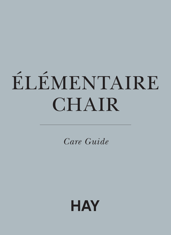# ÉLÉMENTAIRE CHAIR

Care Guide

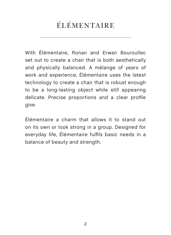## ÉLÉMENTAIRE

With Élémentaire, Ronan and Erwan Bouroullec set out to create a chair that is both aesthetically and physically balanced. A mélange of years of work and experience, Élémentaire uses the latest technology to create a chair that is robust enough to be a long-lasting object while still appearing delicate. Precise proportions and a clear profile give

Élémentaire a charm that allows it to stand out on its own or look strong in a group. Designed for everyday life, Élémentaire fulfils basic needs in a balance of beauty and strength.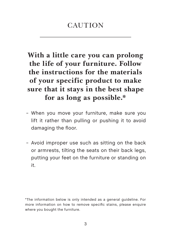## **CAUTION**

**With a little care you can prolong the life of your furniture. Follow the instructions for the materials of your specific product to make sure that it stays in the best shape for as long as possible.\*** 

- − When you move your furniture, make sure you lift it rather than pulling or pushing it to avoid damaging the floor.
- − Avoid improper use such as sitting on the back or armrests, tilting the seats on their back legs, putting your feet on the furniture or standing on it.

\*The information below is only intended as a general guideline. For more information on how to remove specific stains, please enquire where you bought the furniture.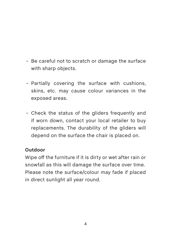- − Be careful not to scratch or damage the surface with sharp objects.
- − Partially covering the surface with cushions, skins, etc. may cause colour variances in the exposed areas.
- − Check the status of the gliders frequently and if worn down, contact your local retailer to buy replacements. The durability of the gliders will depend on the surface the chair is placed on.

#### **Outdoor**

Wipe off the furniture if it is dirty or wet after rain or snowfall as this will damage the surface over time. Please note the surface/colour may fade if placed in direct sunlight all year round.